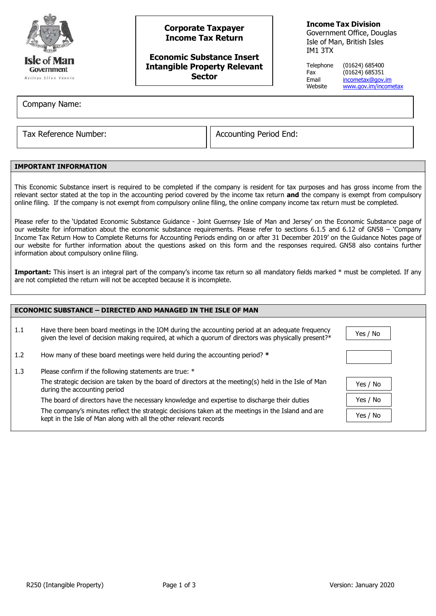

# **Corporate Taxpayer Income Tax Return**

## **Economic Substance Insert Intangible Property Relevant Sector**

## **Income Tax Division**

Government Office, Douglas Isle of Man, British Isles IM1 3TX

Telephone (01624) 685400 Fax (01624) 685351 Email [incometax@gov.im](mailto:incometax@gov.im)<br>Website www.gov.im/incom [www.gov.im/incometax](http://www.gov.im/incometax)

Company Name:

Tax Reference Number:  $\vert$  Accounting Period End:

## **IMPORTANT INFORMATION**

This Economic Substance insert is required to be completed if the company is resident for tax purposes and has gross income from the relevant sector stated at the top in the accounting period covered by the income tax return **and** the company is exempt from compulsory online filing. If the company is not exempt from compulsory online filing, the online company income tax return must be completed.

Please refer to the 'Updated Economic Substance Guidance - Joint Guernsey Isle of Man and Jersey' on the Economic Substance page of our website for information about the economic substance requirements. Please refer to sections 6.1.5 and 6.12 of GN58 – 'Company Income Tax Return How to Complete Returns for Accounting Periods ending on or after 31 December 2019' on the Guidance Notes page of our website for further information about the questions asked on this form and the responses required. GN58 also contains further information about compulsory online filing.

Important: This insert is an integral part of the company's income tax return so all mandatory fields marked \* must be completed. If any are not completed the return will not be accepted because it is incomplete.

| <b>ECONOMIC SUBSTANCE - DIRECTED AND MANAGED IN THE ISLE OF MAN</b> |                                                                                                                                                                                                         |          |  |  |
|---------------------------------------------------------------------|---------------------------------------------------------------------------------------------------------------------------------------------------------------------------------------------------------|----------|--|--|
| 1.1                                                                 | Have there been board meetings in the IOM during the accounting period at an adequate frequency<br>given the level of decision making required, at which a quorum of directors was physically present?* | Yes / No |  |  |
| 1.2                                                                 | How many of these board meetings were held during the accounting period? *                                                                                                                              |          |  |  |
| 1.3                                                                 | Please confirm if the following statements are true: *                                                                                                                                                  |          |  |  |
|                                                                     | The strategic decision are taken by the board of directors at the meeting(s) held in the Isle of Man<br>during the accounting period                                                                    | Yes / No |  |  |
|                                                                     | The board of directors have the necessary knowledge and expertise to discharge their duties                                                                                                             | Yes / No |  |  |
|                                                                     | The company's minutes reflect the strategic decisions taken at the meetings in the Island and are<br>kept in the Isle of Man along with all the other relevant records                                  | Yes / No |  |  |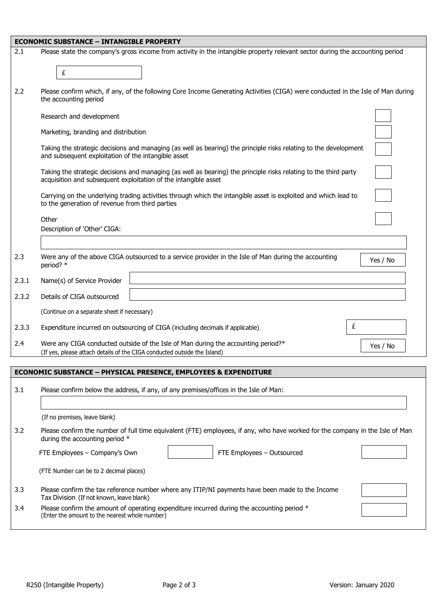|       | <b>ECONOMIC SUBSTANCE - INTANGIBLE PROPERTY</b>                                                                                                                                     |                                                                                                                               |  |
|-------|-------------------------------------------------------------------------------------------------------------------------------------------------------------------------------------|-------------------------------------------------------------------------------------------------------------------------------|--|
| 2.1   |                                                                                                                                                                                     | Please state the company's gross income from activity in the intangible property relevant sector during the accounting period |  |
|       | £                                                                                                                                                                                   |                                                                                                                               |  |
| 2.2   | Please confirm which, if any, of the following Core Income Generating Activities (CIGA) were conducted in the Isle of Man during<br>the accounting period                           |                                                                                                                               |  |
|       | Research and development                                                                                                                                                            |                                                                                                                               |  |
|       | Marketing, branding and distribution                                                                                                                                                |                                                                                                                               |  |
|       | Taking the strategic decisions and managing (as well as bearing) the principle risks relating to the development<br>and subsequent exploitation of the intangible asset             |                                                                                                                               |  |
|       | Taking the strategic decisions and managing (as well as bearing) the principle risks relating to the third party<br>acquisition and subsequent exploitation of the intangible asset |                                                                                                                               |  |
|       | Carrying on the underlying trading activities through which the intangible asset is exploited and which lead to<br>to the generation of revenue from third parties                  |                                                                                                                               |  |
|       | Other<br>Description of 'Other' CIGA:                                                                                                                                               |                                                                                                                               |  |
| 2.3   | Were any of the above CIGA outsourced to a service provider in the Isle of Man during the accounting<br>period? *                                                                   | Yes / No                                                                                                                      |  |
| 2.3.1 | Name(s) of Service Provider                                                                                                                                                         |                                                                                                                               |  |
| 2.3.2 | Details of CIGA outsourced                                                                                                                                                          |                                                                                                                               |  |
|       | (Continue on a separate sheet if necessary)                                                                                                                                         |                                                                                                                               |  |
| 2.3.3 | Expenditure incurred on outsourcing of CIGA (including decimals if applicable)                                                                                                      | £                                                                                                                             |  |
| 2.4   | Were any CIGA conducted outside of the Isle of Man during the accounting period?*<br>(If yes, please attach details of the CIGA conducted outside the Island)                       | Yes / No                                                                                                                      |  |
|       | <b>ECONOMIC SUBSTANCE - PHYSICAL PRESENCE, EMPLOYEES &amp; EXPENDITURE</b>                                                                                                          |                                                                                                                               |  |

| 3.1 | Please confirm below the address, if any, of any premises/offices in the Isle of Man:                                                                           |  |  |  |
|-----|-----------------------------------------------------------------------------------------------------------------------------------------------------------------|--|--|--|
|     | (If no premises, leave blank)                                                                                                                                   |  |  |  |
| 3.2 | Please confirm the number of full time equivalent (FTE) employees, if any, who have worked for the company in the Isle of Man<br>during the accounting period * |  |  |  |
|     | FTE Employees – Company's Own<br>FTE Employees - Outsourced                                                                                                     |  |  |  |
|     | (FTE Number can be to 2 decimal places)                                                                                                                         |  |  |  |
| 3.3 | Please confirm the tax reference number where any ITIP/NI payments have been made to the Income<br>Tax Division (If not known, leave blank)                     |  |  |  |
| 3.4 | Please confirm the amount of operating expenditure incurred during the accounting period $*$<br>(Enter the amount to the nearest whole number)                  |  |  |  |